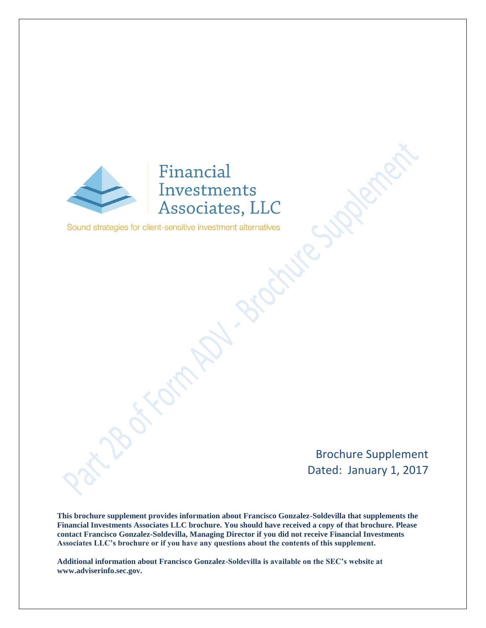

Sound strategies for client-sensitive investment alternatives

Brochure Supplement Dated: January 1, 2017

**This brochure supplement provides information about Francisco Gonzalez-Soldevilla that supplements the Financial Investments Associates LLC brochure. You should have received a copy of that brochure. Please contact Francisco Gonzalez-Soldevilla, Managing Director if you did not receive Financial Investments Associates LLC's brochure or if you have any questions about the contents of this supplement.** 

**Additional information about Francisco Gonzalez-Soldevilla is available on the SEC's website at www.adviserinfo.sec.gov.**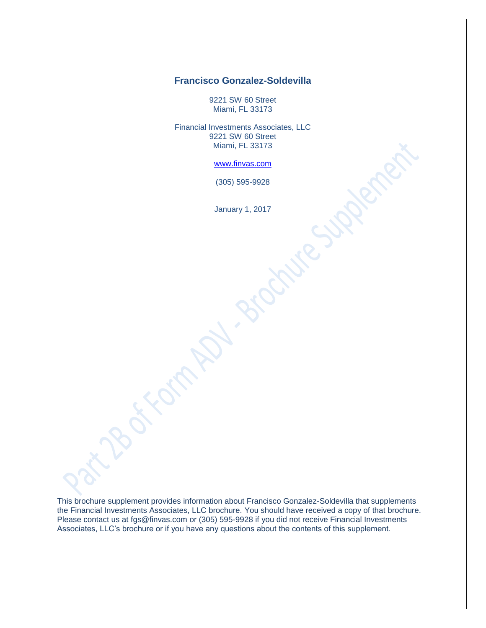# **Francisco Gonzalez-Soldevilla**

9221 SW 60 Street Miami, FL 33173

Financial Investments Associates, LLC 9221 SW 60 Street Miami, FL 33173

[www.finvas.com](http://www.finvas.com/)

(305) 595-9928

January 1, 2017

This brochure supplement provides information about Francisco Gonzalez-Soldevilla that supplements the Financial Investments Associates, LLC brochure. You should have received a copy of that brochure. Please contact us at [fgs@finvas.com](mailto:fgs@finvas.com) or (305) 595-9928 if you did not receive Financial Investments Associates, LLC's brochure or if you have any questions about the contents of this supplement.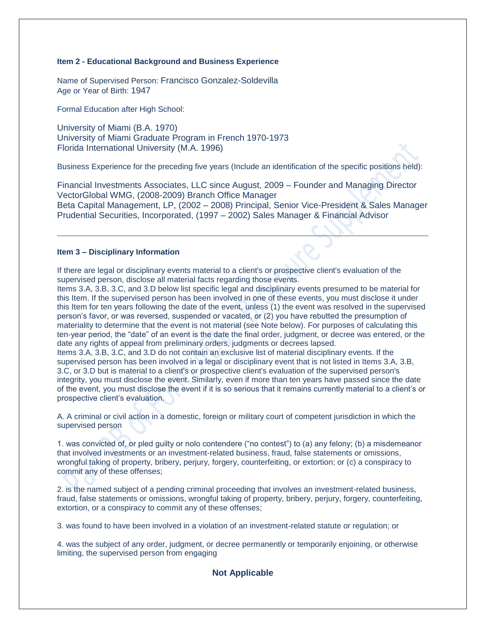### **Item 2 - Educational Background and Business Experience**

Name of Supervised Person: Francisco Gonzalez-Soldevilla Age or Year of Birth: 1947

Formal Education after High School:

University of Miami (B.A. 1970) University of Miami Graduate Program in French 1970-1973 Florida International University (M.A. 1996)

Business Experience for the preceding five years (Include an identification of the specific positions held):

Financial Investments Associates, LLC since August, 2009 – Founder and Managing Director VectorGlobal WMG, (2008-2009) Branch Office Manager Beta Capital Management, LP, (2002 – 2008) Principal, Senior Vice-President & Sales Manager Prudential Securities, Incorporated, (1997 – 2002) Sales Manager & Financial Advisor

### **Item 3 – Disciplinary Information**

If there are legal or disciplinary events material to a client's or prospective client's evaluation of the supervised person, disclose all material facts regarding those events.

Items 3.A, 3.B, 3.C, and 3.D below list specific legal and disciplinary events presumed to be material for this Item. If the supervised person has been involved in one of these events, you must disclose it under this Item for ten years following the date of the event, unless (1) the event was resolved in the supervised person's favor, or was reversed, suspended or vacated, or (2) you have rebutted the presumption of materiality to determine that the event is not material (see Note below). For purposes of calculating this ten-year period, the "date" of an event is the date the final order, judgment, or decree was entered, or the date any rights of appeal from preliminary orders, judgments or decrees lapsed.

Items 3.A, 3.B, 3.C, and 3.D do not contain an exclusive list of material disciplinary events. If the supervised person has been involved in a legal or disciplinary event that is not listed in Items 3.A, 3.B, 3.C, or 3.D but is material to a client's or prospective client's evaluation of the supervised person's integrity, you must disclose the event. Similarly, even if more than ten years have passed since the date of the event, you must disclose the event if it is so serious that it remains currently material to a client's or prospective client's evaluation.

A. A criminal or civil action in a domestic, foreign or military court of competent jurisdiction in which the supervised person

1. was convicted of, or pled guilty or nolo contendere ("no contest") to (a) any felony; (b) a misdemeanor that involved investments or an investment-related business, fraud, false statements or omissions, wrongful taking of property, bribery, perjury, forgery, counterfeiting, or extortion; or (c) a conspiracy to commit any of these offenses;

2. is the named subject of a pending criminal proceeding that involves an investment-related business, fraud, false statements or omissions, wrongful taking of property, bribery, perjury, forgery, counterfeiting, extortion, or a conspiracy to commit any of these offenses;

3. was found to have been involved in a violation of an investment-related statute or regulation; or

4. was the subject of any order, judgment, or decree permanently or temporarily enjoining, or otherwise limiting, the supervised person from engaging

## **Not Applicable**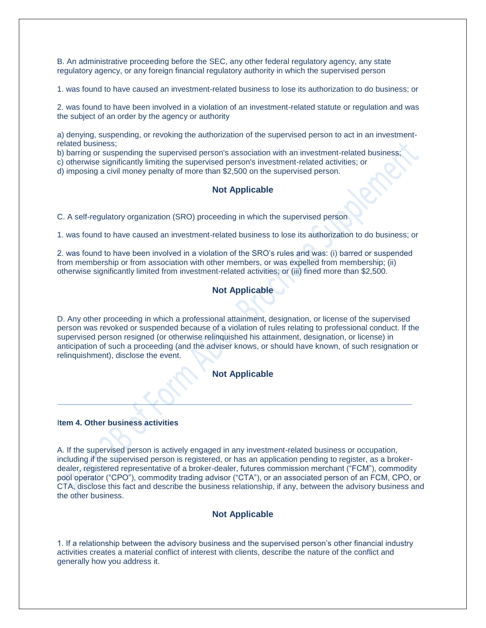B. An administrative proceeding before the SEC, any other federal regulatory agency, any state regulatory agency, or any foreign financial regulatory authority in which the supervised person

1. was found to have caused an investment-related business to lose its authorization to do business; or

2. was found to have been involved in a violation of an investment-related statute or regulation and was the subject of an order by the agency or authority

a) denying, suspending, or revoking the authorization of the supervised person to act in an investmentrelated business;

b) barring or suspending the supervised person's association with an investment-related business;

c) otherwise significantly limiting the supervised person's investment-related activities; or

d) imposing a civil money penalty of more than \$2,500 on the supervised person.

### **Not Applicable**

C. A self-regulatory organization (SRO) proceeding in which the supervised person

1. was found to have caused an investment-related business to lose its authorization to do business; or

2. was found to have been involved in a violation of the SRO's rules and was: (i) barred or suspended from membership or from association with other members, or was expelled from membership; (ii) otherwise significantly limited from investment-related activities; or (iii) fined more than \$2,500.

### **Not Applicable**

D. Any other proceeding in which a professional attainment, designation, or license of the supervised person was revoked or suspended because of a violation of rules relating to professional conduct. If the supervised person resigned (or otherwise relinquished his attainment, designation, or license) in anticipation of such a proceeding (and the adviser knows, or should have known, of such resignation or relinquishment), disclose the event.

## **Not Applicable**

#### I**tem 4. Other business activities**

A. If the supervised person is actively engaged in any investment-related business or occupation, including if the supervised person is registered, or has an application pending to register, as a brokerdealer, registered representative of a broker-dealer, futures commission merchant ("FCM"), commodity pool operator ("CPO"), commodity trading advisor ("CTA"), or an associated person of an FCM, CPO, or CTA, disclose this fact and describe the business relationship, if any, between the advisory business and the other business.

### **Not Applicable**

1. If a relationship between the advisory business and the supervised person's other financial industry activities creates a material conflict of interest with clients, describe the nature of the conflict and generally how you address it.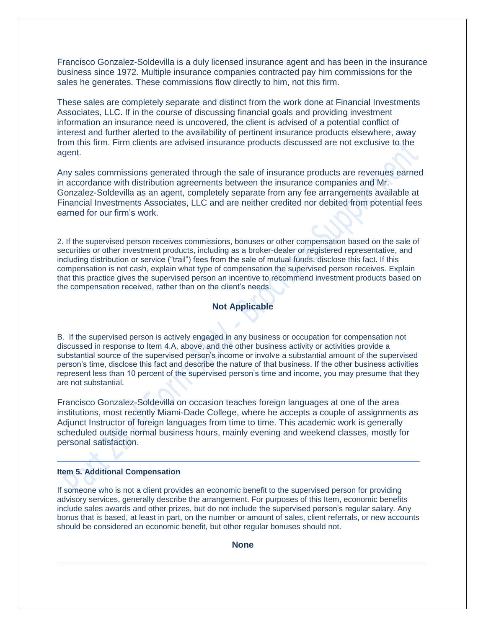Francisco Gonzalez-Soldevilla is a duly licensed insurance agent and has been in the insurance business since 1972. Multiple insurance companies contracted pay him commissions for the sales he generates. These commissions flow directly to him, not this firm.

These sales are completely separate and distinct from the work done at Financial Investments Associates, LLC. If in the course of discussing financial goals and providing investment information an insurance need is uncovered, the client is advised of a potential conflict of interest and further alerted to the availability of pertinent insurance products elsewhere, away from this firm. Firm clients are advised insurance products discussed are not exclusive to the agent.

Any sales commissions generated through the sale of insurance products are revenues earned in accordance with distribution agreements between the insurance companies and Mr. Gonzalez-Soldevilla as an agent, completely separate from any fee arrangements available at Financial Investments Associates, LLC and are neither credited nor debited from potential fees earned for our firm's work.

2. If the supervised person receives commissions, bonuses or other compensation based on the sale of securities or other investment products, including as a broker-dealer or registered representative, and including distribution or service ("trail") fees from the sale of mutual funds, disclose this fact. If this compensation is not cash, explain what type of compensation the supervised person receives. Explain that this practice gives the supervised person an incentive to recommend investment products based on the compensation received, rather than on the client's needs.

## **Not Applicable**

B. If the supervised person is actively engaged in any business or occupation for compensation not discussed in response to Item 4.A, above, and the other business activity or activities provide a substantial source of the supervised person's income or involve a substantial amount of the supervised person's time, disclose this fact and describe the nature of that business. If the other business activities represent less than 10 percent of the supervised person's time and income, you may presume that they are not substantial.

Francisco Gonzalez-Soldevilla on occasion teaches foreign languages at one of the area institutions, most recently Miami-Dade College, where he accepts a couple of assignments as Adjunct Instructor of foreign languages from time to time. This academic work is generally scheduled outside normal business hours, mainly evening and weekend classes, mostly for personal satisfaction.

### **Item 5. Additional Compensation**

If someone who is not a client provides an economic benefit to the supervised person for providing advisory services, generally describe the arrangement. For purposes of this Item, economic benefits include sales awards and other prizes, but do not include the supervised person's regular salary. Any bonus that is based, at least in part, on the number or amount of sales, client referrals, or new accounts should be considered an economic benefit, but other regular bonuses should not.

**None**